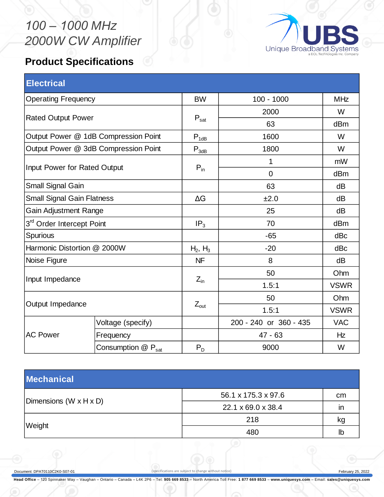## *100 – 1000 MHz 2000W CW Amplifier*



## **Product Specifications**

| <b>Electrical</b>                    |                    |                  |                        |                 |
|--------------------------------------|--------------------|------------------|------------------------|-----------------|
| <b>Operating Frequency</b>           |                    | <b>BW</b>        | $100 - 1000$           | <b>MHz</b>      |
| <b>Rated Output Power</b>            |                    | $P_{\text{sat}}$ | 2000                   | W               |
|                                      |                    |                  | 63                     | dB <sub>m</sub> |
| Output Power @ 1dB Compression Point |                    | $P_{1dB}$        | 1600                   | W               |
| Output Power @ 3dB Compression Point |                    | $P_{3dB}$        | 1800                   | W               |
| Input Power for Rated Output         |                    | $P_{in}$         | 1                      | mW              |
|                                      |                    |                  | $\overline{0}$         | dBm             |
| Small Signal Gain                    |                    |                  | 63                     | dB              |
| <b>Small Signal Gain Flatness</b>    |                    | $\Delta G$       | ±2.0                   | dB              |
| <b>Gain Adjustment Range</b>         |                    |                  | 25                     | dB              |
| 3rd Order Intercept Point            |                    | IP <sub>3</sub>  | 70                     | dB <sub>m</sub> |
| Spurious                             |                    |                  | $-65$                  | dBc             |
| Harmonic Distortion @ 2000W          |                    | $H_2, H_3$       | $-20$                  | dBc             |
| Noise Figure                         |                    | <b>NF</b>        | 8                      | dB              |
| Input Impedance                      |                    | $Z_{\text{in}}$  | 50                     | Ohm             |
|                                      |                    |                  | 1.5:1                  | <b>VSWR</b>     |
| Output Impedance                     |                    |                  | 50                     | Ohm             |
|                                      |                    | $Z_{\text{out}}$ | 1.5:1                  | <b>VSWR</b>     |
| <b>AC Power</b>                      | Voltage (specify)  |                  | 200 - 240 or 360 - 435 | <b>VAC</b>      |
|                                      | Frequency          |                  | $47 - 63$              | Hz              |
|                                      | Consumption @ Psat | $P_D$            | 9000                   | W               |

| <b>Mechanical</b>      |                     |    |  |  |
|------------------------|---------------------|----|--|--|
|                        | 56.1 x 175.3 x 97.6 | cm |  |  |
| Dimensions (W x H x D) | 22.1 x 69.0 x 38.4  | ır |  |  |
|                        | 218                 | κg |  |  |
| Weight                 | 480                 | lb |  |  |

Document: DPAT0110C2K0-S07-01 (specifications are subject to change without notice) February 25, 2022